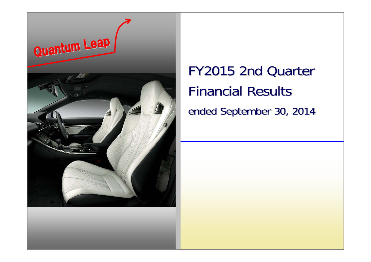

## FY2015 2nd Quarter FY2015 2nd Quarter Financial Results Financial Results ended September 30, 2014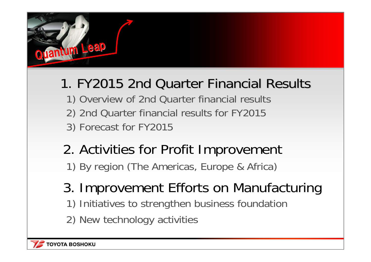

### 1. FY2015 2nd Quarter Financial Results

- 1) Overview of 2nd Quarter financial results 2) 2nd Quarter financial results for FY2015
- 3) Forecast for FY2015
- 2. Activities for Profit Improvement 1) By region (The Americas, Europe & Africa)
- 3. Improvement Efforts on Manufacturing 1) Initiatives to strengthen business foundation
- 2) New technology activities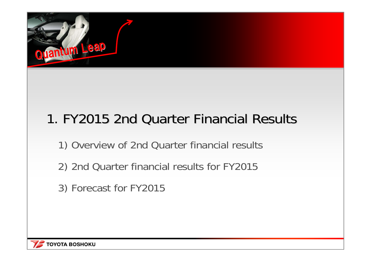

## 1. FY2015 2nd Quarter Financial Results

- 1) Overview of 2nd Quarter financial results
- 2) 2nd Quarter financial results for FY2015
- 3) Forecast for FY2015

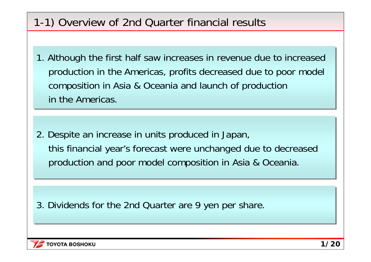### 1-1) Overview of 2nd Quarter financial results

1. Although the first half saw increases in revenue due to increased 1. Although the first half saw increases in revenue due to increased production in the Americas, profits decreased due to poor model production in the Americas, profits decreased due to poor model composition in Asia & Oceania and launch of production composition in Asia & Oceania and launch of production in the Americas.

2. Despite an increase in units produced in Japan, 2. Despite an increase in units produced in Japan, this financial year's forecast were unchanged due to decreased this financial year's forecast were unchanged due to decreased production and poor model composition in Asia & Oceania. production and poor model composition in Asia & Oceania.

3. Dividends for the 2nd Quarter are 9 yen per share.

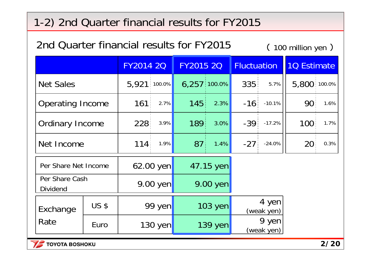| 2nd Quarter financial results for FY2015<br>$(100$ million yen $)$ |  |                                             |  |  |
|--------------------------------------------------------------------|--|---------------------------------------------|--|--|
|                                                                    |  | FY2014 20 FY2015 20 Fluctuation 10 Estimate |  |  |
| <b>Net Sales</b>                                                   |  |                                             |  |  |

| Net Sales               |                | $5,921$ 100.0% 6,257 100.0% |                            | $335$ : 5.7%   5,800:100.0% |
|-------------------------|----------------|-----------------------------|----------------------------|-----------------------------|
| <b>Operating Income</b> | $161: 2.7\%$   |                             | <b>145</b> 2.3% -16 -10.1% | $90^{\circ}$<br>$1.6\%$     |
| <b>Ordinary Income</b>  | $228:3.9\%$    | $\boxed{189}$ 3.0%          | $-39$ $-17.2\%$            | $100^{\frac{1}{5}}$<br>1.7% |
| Net Income              | 114<br>$1.9\%$ | $87:1.4\%$                  | $-27: -24.0\%$             | $20^{\frac{1}{2}}$<br>0.3%  |
|                         |                |                             |                            |                             |

| Per Share Net Income              |              | $62.00$ yen       | 47.15 yen  |                     |
|-----------------------------------|--------------|-------------------|------------|---------------------|
| Per Share Cash<br><b>Dividend</b> |              | $9.00$ yen        | $9.00$ yen |                     |
| Exchange<br>Rate                  | <b>US \$</b> | 99 yen            | $103$ yen  | 4 yen<br>(weak yen) |
|                                   | Euro         | $130 \text{ yen}$ | $139$ yen  | 9 yen<br>(weak yen) |



 $\Gamma$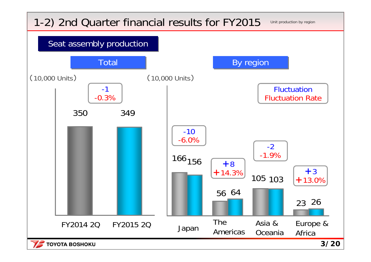**TOYOTA BOSHOKU** 

Unit production by region



**3/20**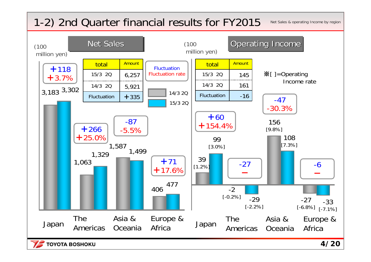Net Sales & operating Income by region

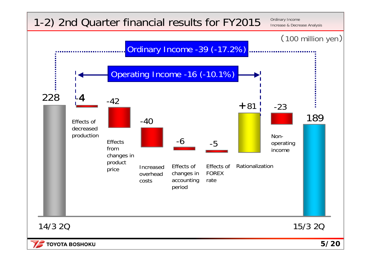Ordinary Income Increase & Decrease Analysis



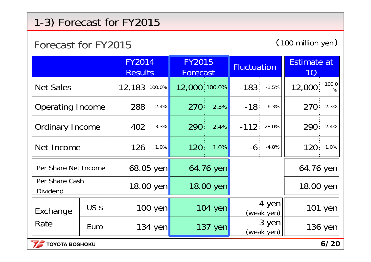### 1-3) Forecast for FY2015

#### Forecast for FY2015

(100 million yen )

|                                   |              | <b>FY2014</b><br><b>Results</b> |           | <b>FY2015</b><br>Forecast |         | <b>Fluctuation</b> |                     | Estimate at<br><b>1Q</b> |               |
|-----------------------------------|--------------|---------------------------------|-----------|---------------------------|---------|--------------------|---------------------|--------------------------|---------------|
| <b>Net Sales</b>                  |              | 12,183 100.0%                   |           | 12,000 100.0%             |         | $-183$             | $-1.5%$             | 12,000                   | 100.0<br>$\%$ |
| <b>Operating Income</b>           |              | 288                             | 2.4%      | $270^{\circ}$             | 2.3%    | $-18$              | $-6.3%$             | 270                      | 2.3%          |
| <b>Ordinary Income</b>            |              | $402^{\frac{1}{2}}$             | 3.3%      | 290                       | 2.4%    |                    | $-112$ $-28.0\%$    | $290^{\frac{1}{2}}$      | 2.4%          |
| Net Income                        |              | 126:                            | 1.0%      | 120                       | 1.0%    |                    | $-6: -4.8\%$        | 120 <sup>1</sup>         | 1.0%          |
| Per Share Net Income              |              | 68.05 yen                       |           | 64.76 yen                 |         |                    |                     | 64.76 yen                |               |
| Per Share Cash<br><b>Dividend</b> |              | 18.00 yen                       |           | 18.00 yen                 |         |                    |                     | 18.00 yen                |               |
| Exchange<br>Rate                  | <b>US \$</b> | $100$ yen                       |           |                           | 104 yen |                    | 4 yen<br>(weak yen) |                          | 101 yen       |
|                                   | Euro         |                                 | $134$ yen |                           | 137 yen |                    | 3 yen<br>(weak yen) |                          | 136 yen       |

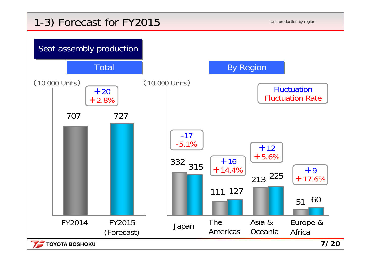### 1-3) Forecast for FY2015



**7/20**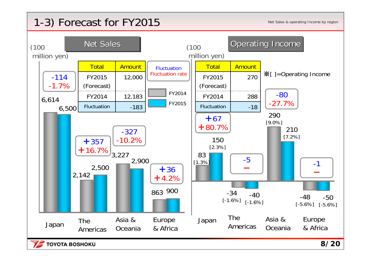### 1-3) Forecast for FY2015

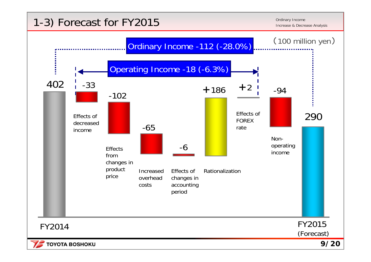#### **1-3) Forecast for FY2015** Income Increase & Decrease Analysis **Increase Analysis**

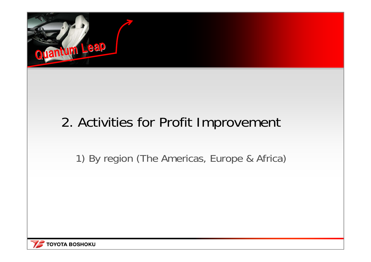

### 2. Activities for Profit Improvement

1) By region (The Americas, Europe & Africa)

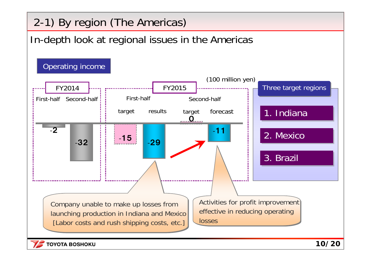### 2-1) By region (The Americas)

### In-depth look at regional issues in the Americas

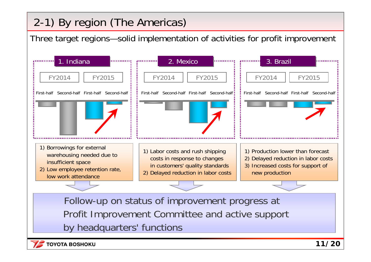### 2-1) By region (The Americas)

Three target regions—solid implementation of activities for profit improvement



Profit Improvement Committee and active support by headquarters' functions

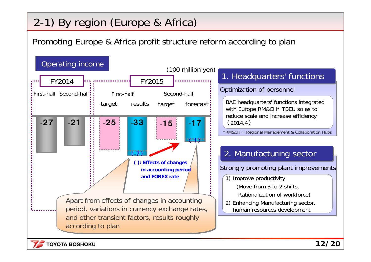### 2-1) By region (Europe & Africa)

Promoting Europe & Africa profit structure reform according to plan



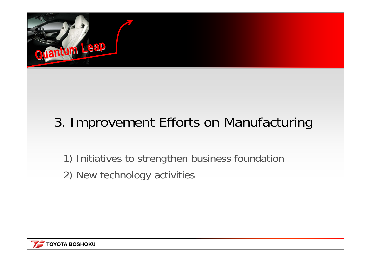

## 3. Improvement Efforts on Manufacturing

1) Initiatives to strengthen business foundation

2) New technology activities

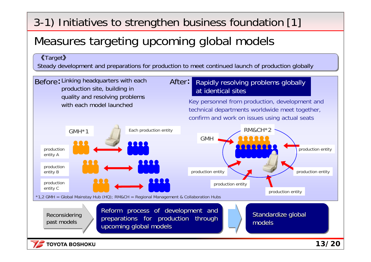3-1) Initiatives to strengthen business foundation [1]

### Measures targeting upcoming global models

#### 《Target 》 《Target 》

Steady development and preparations for production to meet continued launch of production globally Steady development and preparations for production to meet continued launch of production globally

Before: Linking headquarters with each **After:** production site, building in quality and resolving problems with each model launched

#### Rapidly resolving problems globally at identical sites

Key personnel from production, development and technical departments worldwide meet together, confirm and work on issues using actual seats

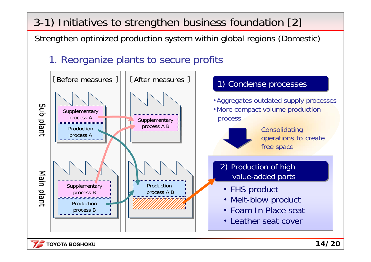3-1) Initiatives to strengthen business foundation [2]

Strengthen optimized production system within global regions (Domestic)

1. Reorganize plants to secure profits

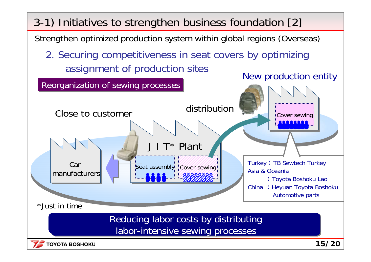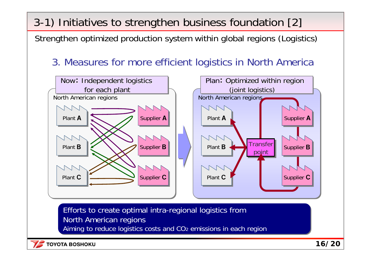3-1) Initiatives to strengthen business foundation [2]

Strengthen optimized production system within global regions (Logistics)

3. Measures for more efficient logistics in North America



Efforts to create optimal intra-regional logistics from Efforts to create optimal intra-regional logistics from North American regions North American regions Aiming to reduce logistics costs and CO2 emissions in each region Aiming to reduce logistics costs and CO2 emissions in each region

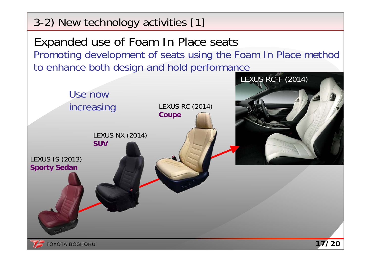Expanded use of Foam In Place seats Promoting development of seats using the Foam In Place method to enhance both design and hold performance LEXUS RC-F (2014) Use now increasing LEXUS RC (2014) **Coupe** LEXUS NX (2014) **SUV**LEXUS IS (2013) **Sporty Sedan 17/20TOYOTA BOSHOKU** 

3-2) New technology activities [1]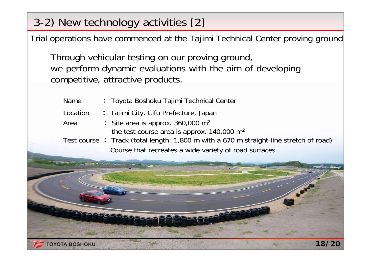### 3-2) New technology activities [2]

1222000

Trial operations have commenced at the Tajimi Technical Center proving ground

Through vehicular testing on our proving ground, we perform dynamic evaluations with the aim of developing competitive, attractive products.

| <b>Name</b> | : Toyota Boshoku Tajimi Technical Center                                               |
|-------------|----------------------------------------------------------------------------------------|
| Location    | : Tajimi City, Gifu Prefecture, Japan                                                  |
| Area        | : Site area is approx. $360,000$ m <sup>2</sup>                                        |
|             | the test course area is approx. $140,000 \text{ m}^2$                                  |
|             | Test course : Track (total length: 1,800 m with a 670 m straight-line stretch of road) |
|             | Course that recreates a wide variety of road surfaces                                  |
|             |                                                                                        |

**De Pi** 

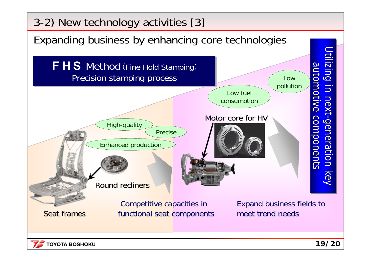

**TOYOTA BOSHOKU**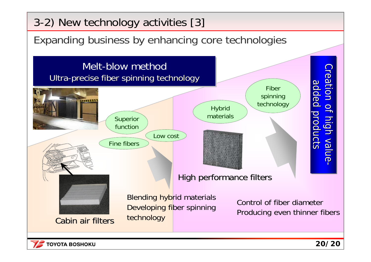

Expanding business by enhancing core technologies Expanding business by enhancing core technologies